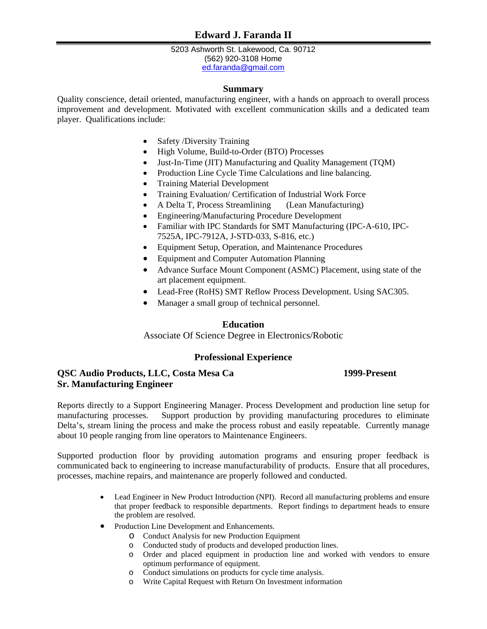5203 Ashworth St. Lakewood, Ca. 90712 (562) 920-3108 Home [ed.faranda@gmail.com](mailto:ed.faranda@gmail.com?subject=Regarding%20Your%20Resume%20that%20you%20sent%20me)

## **Summary**

Quality conscience, detail oriented, manufacturing engineer, with a hands on approach to overall process improvement and development. Motivated with excellent communication skills and a dedicated team player. Qualifications include:

- Safety /Diversity Training
- High Volume, Build-to-Order (BTO) Processes
- Just-In-Time (JIT) Manufacturing and Quality Management (TQM)
- Production Line Cycle Time Calculations and line balancing.
- Training Material Development
- Training Evaluation/ Certification of Industrial Work Force
- A Delta T, Process Streamlining (Lean Manufacturing)
- Engineering/Manufacturing Procedure Development
- Familiar with IPC Standards for SMT Manufacturing (IPC-A-610, IPC-7525A, IPC-7912A, J-STD-033, S-816, etc.)
- Equipment Setup, Operation, and Maintenance Procedures
- Equipment and Computer Automation Planning
- Advance Surface Mount Component (ASMC) Placement, using state of the art placement equipment.
- Lead-Free (RoHS) SMT Reflow Process Development. Using SAC305.
- Manager a small group of technical personnel.

## **Education**

Associate Of Science Degree in Electronics/Robotic

# **Professional Experience**

# **QSC Audio Products, LLC, Costa Mesa Ca 1999-Present Sr. Manufacturing Engineer**

Reports directly to a Support Engineering Manager. Process Development and production line setup for manufacturing processes. Support production by providing manufacturing procedures to eliminate Delta's, stream lining the process and make the process robust and easily repeatable. Currently manage about 10 people ranging from line operators to Maintenance Engineers.

Supported production floor by providing automation programs and ensuring proper feedback is communicated back to engineering to increase manufacturability of products. Ensure that all procedures, processes, machine repairs, and maintenance are properly followed and conducted.

- Lead Engineer in New Product Introduction (NPI). Record all manufacturing problems and ensure that proper feedback to responsible departments. Report findings to department heads to ensure the problem are resolved.
- Production Line Development and Enhancements.
	- o Conduct Analysis for new Production Equipment
	- o Conducted study of products and developed production lines.
	- o Order and placed equipment in production line and worked with vendors to ensure optimum performance of equipment.
	- o Conduct simulations on products for cycle time analysis.
	- o Write Capital Request with Return On Investment information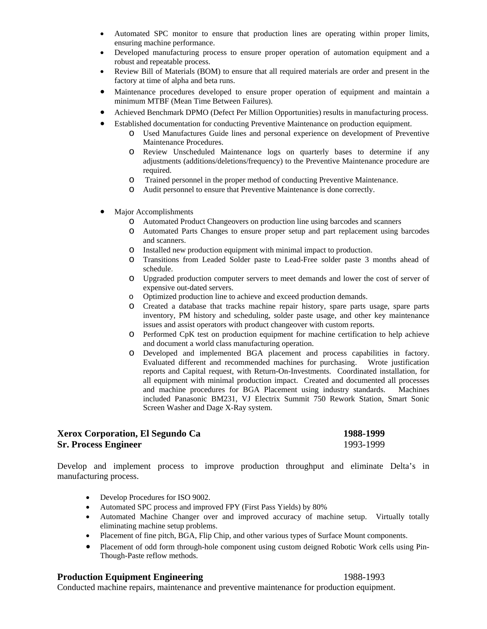- Automated SPC monitor to ensure that production lines are operating within proper limits, ensuring machine performance.
- Developed manufacturing process to ensure proper operation of automation equipment and a robust and repeatable process.
- Review Bill of Materials (BOM) to ensure that all required materials are order and present in the factory at time of alpha and beta runs.
- Maintenance procedures developed to ensure proper operation of equipment and maintain a minimum MTBF (Mean Time Between Failures).
- Achieved Benchmark DPMO (Defect Per Million Opportunities) results in manufacturing process.
- Established documentation for conducting Preventive Maintenance on production equipment.
	- o Used Manufactures Guide lines and personal experience on development of Preventive Maintenance Procedures.
	- o Review Unscheduled Maintenance logs on quarterly bases to determine if any adjustments (additions/deletions/frequency) to the Preventive Maintenance procedure are required.
	- o Trained personnel in the proper method of conducting Preventive Maintenance.
	- o Audit personnel to ensure that Preventive Maintenance is done correctly.
- Major Accomplishments
	- o Automated Product Changeovers on production line using barcodes and scanners
	- o Automated Parts Changes to ensure proper setup and part replacement using barcodes and scanners.
	- o Installed new production equipment with minimal impact to production.
	- o Transitions from Leaded Solder paste to Lead-Free solder paste 3 months ahead of schedule.
	- o Upgraded production computer servers to meet demands and lower the cost of server of expensive out-dated servers.
	- o Optimized production line to achieve and exceed production demands.
	- o Created a database that tracks machine repair history, spare parts usage, spare parts inventory, PM history and scheduling, solder paste usage, and other key maintenance issues and assist operators with product changeover with custom reports.
	- o Performed CpK test on production equipment for machine certification to help achieve and document a world class manufacturing operation.
	- o Developed and implemented BGA placement and process capabilities in factory. Evaluated different and recommended machines for purchasing. Wrote justification reports and Capital request, with Return-On-Investments. Coordinated installation, for all equipment with minimal production impact. Created and documented all processes and machine procedures for BGA Placement using industry standards. Machines included Panasonic BM231, VJ Electrix Summit 750 Rework Station, Smart Sonic Screen Washer and Dage X-Ray system.

# **Xerox Corporation, El Segundo Ca 1988-1999 Sr. Process Engineer** 1993-1999

Develop and implement process to improve production throughput and eliminate Delta's in manufacturing process.

- Develop Procedures for ISO 9002.
- Automated SPC process and improved FPY (First Pass Yields) by 80%
- Automated Machine Changer over and improved accuracy of machine setup. Virtually totally eliminating machine setup problems.
- Placement of fine pitch, BGA, Flip Chip, and other various types of Surface Mount components.
- Placement of odd form through-hole component using custom deigned Robotic Work cells using Pin-Though-Paste reflow methods.

# **Production Equipment Engineering** 1988-1993

Conducted machine repairs, maintenance and preventive maintenance for production equipment.